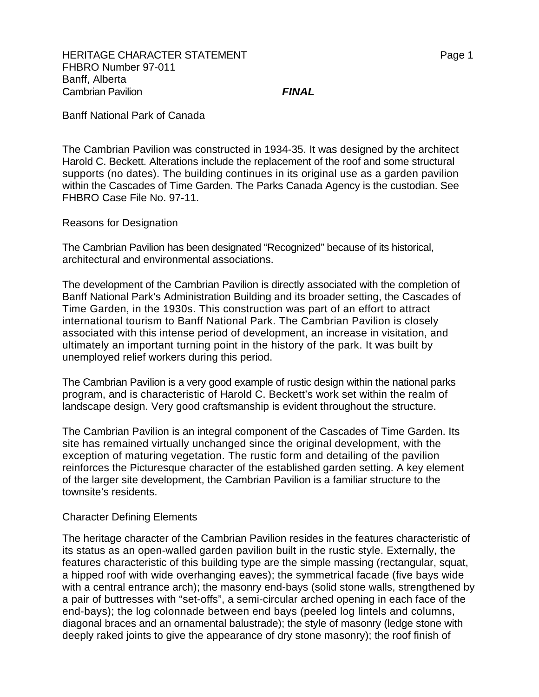Banff National Park of Canada

The Cambrian Pavilion was constructed in 1934-35. It was designed by the architect Harold C. Beckett. Alterations include the replacement of the roof and some structural supports (no dates). The building continues in its original use as a garden pavilion within the Cascades of Time Garden. The Parks Canada Agency is the custodian. See FHBRO Case File No. 97-11.

Reasons for Designation

The Cambrian Pavilion has been designated "Recognized" because of its historical, architectural and environmental associations.

The development of the Cambrian Pavilion is directly associated with the completion of Banff National Park's Administration Building and its broader setting, the Cascades of Time Garden, in the 1930s. This construction was part of an effort to attract international tourism to Banff National Park. The Cambrian Pavilion is closely associated with this intense period of development, an increase in visitation, and ultimately an important turning point in the history of the park. It was built by unemployed relief workers during this period.

The Cambrian Pavilion is a very good example of rustic design within the national parks program, and is characteristic of Harold C. Beckett's work set within the realm of landscape design. Very good craftsmanship is evident throughout the structure.

The Cambrian Pavilion is an integral component of the Cascades of Time Garden. Its site has remained virtually unchanged since the original development, with the exception of maturing vegetation. The rustic form and detailing of the pavilion reinforces the Picturesque character of the established garden setting. A key element of the larger site development, the Cambrian Pavilion is a familiar structure to the townsite's residents.

## Character Defining Elements

The heritage character of the Cambrian Pavilion resides in the features characteristic of its status as an open-walled garden pavilion built in the rustic style. Externally, the features characteristic of this building type are the simple massing (rectangular, squat, a hipped roof with wide overhanging eaves); the symmetrical facade (five bays wide with a central entrance arch); the masonry end-bays (solid stone walls, strengthened by a pair of buttresses with "set-offs", a semi-circular arched opening in each face of the end-bays); the log colonnade between end bays (peeled log lintels and columns, diagonal braces and an ornamental balustrade); the style of masonry (ledge stone with deeply raked joints to give the appearance of dry stone masonry); the roof finish of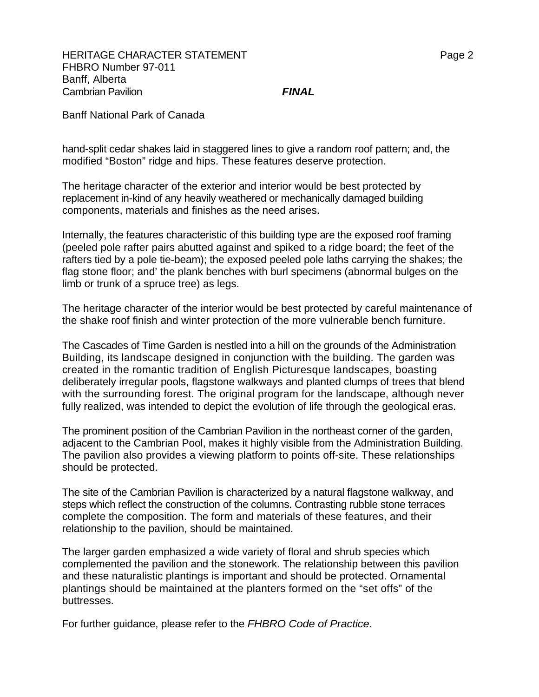Banff National Park of Canada

hand-split cedar shakes laid in staggered lines to give a random roof pattern; and, the modified "Boston" ridge and hips. These features deserve protection.

The heritage character of the exterior and interior would be best protected by replacement in-kind of any heavily weathered or mechanically damaged building components, materials and finishes as the need arises.

Internally, the features characteristic of this building type are the exposed roof framing (peeled pole rafter pairs abutted against and spiked to a ridge board; the feet of the rafters tied by a pole tie-beam); the exposed peeled pole laths carrying the shakes; the flag stone floor; and' the plank benches with burl specimens (abnormal bulges on the limb or trunk of a spruce tree) as legs.

The heritage character of the interior would be best protected by careful maintenance of the shake roof finish and winter protection of the more vulnerable bench furniture.

The Cascades of Time Garden is nestled into a hill on the grounds of the Administration Building, its landscape designed in conjunction with the building. The garden was created in the romantic tradition of English Picturesque landscapes, boasting deliberately irregular pools, flagstone walkways and planted clumps of trees that blend with the surrounding forest. The original program for the landscape, although never fully realized, was intended to depict the evolution of life through the geological eras.

The prominent position of the Cambrian Pavilion in the northeast corner of the garden, adjacent to the Cambrian Pool, makes it highly visible from the Administration Building. The pavilion also provides a viewing platform to points off-site. These relationships should be protected.

The site of the Cambrian Pavilion is characterized by a natural flagstone walkway, and steps which reflect the construction of the columns. Contrasting rubble stone terraces complete the composition. The form and materials of these features, and their relationship to the pavilion, should be maintained.

The larger garden emphasized a wide variety of floral and shrub species which complemented the pavilion and the stonework. The relationship between this pavilion and these naturalistic plantings is important and should be protected. Ornamental plantings should be maintained at the planters formed on the "set offs" of the buttresses.

For further guidance, please refer to the *FHBRO Code of Practice.*